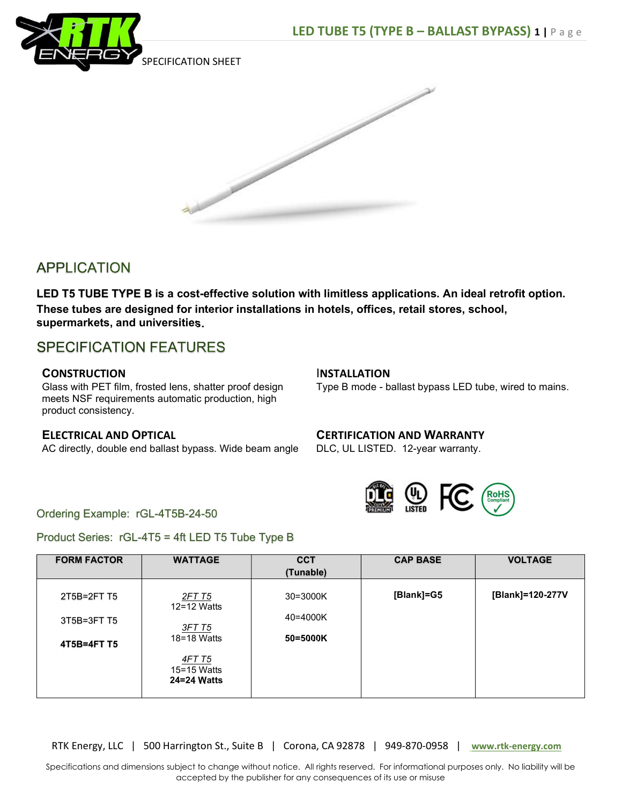



# **APPLICATION**

LED T5 TUBE TYPE B is a cost-effective solution with limitless applications. An ideal retrofit option. These tubes are designed for interior installations in hotels, offices, retail stores, school, supermarkets, and universities.

# **SPECIFICATION FEATURES**

### **CONSTRUCTION**

Glass with PET film, frosted lens, shatter proof design meets NSF requirements automatic production, high product consistency.

### ELECTRICAL AND OPTICAL

AC directly, double end ballast bypass. Wide beam angle

#### INSTALLATION

Type B mode - ballast bypass LED tube, wired to mains.

## CERTIFICATION AND WARRANTY

DLC, UL LISTED. 12-year warranty.



### Ordering Example: rGL-4T5B-24-50

Product Series: rGL-4T5 = 4ft LED T5 Tube Type B

| <b>FORM FACTOR</b> | <b>WATTAGE</b>                              | <b>CCT</b><br>(Tunable) | <b>CAP BASE</b> | <b>VOLTAGE</b>   |
|--------------------|---------------------------------------------|-------------------------|-----------------|------------------|
| 2T5B=2FT T5        | 2FT T5<br>$12 = 12$ Watts                   | 30=3000K                | [Blank]=G5      | [Blank]=120-277V |
| 3T5B=3FT T5        | <u>3FT T5</u>                               | 40=4000K                |                 |                  |
| 4T5B=4FT T5        | 18=18 Watts                                 | 50=5000K                |                 |                  |
|                    | <u>4FT T5</u><br>15=15 Watts<br>24=24 Watts |                         |                 |                  |
|                    |                                             |                         |                 |                  |

RTK Energy, LLC | 500 Harrington St., Suite B | Corona, CA 92878 | 949-870-0958 | www.rtk-energy.com

Specifications and dimensions subject to change without notice. All rights reserved. For informational purposes only. No liability will be accepted by the publisher for any consequences of its use or misuse